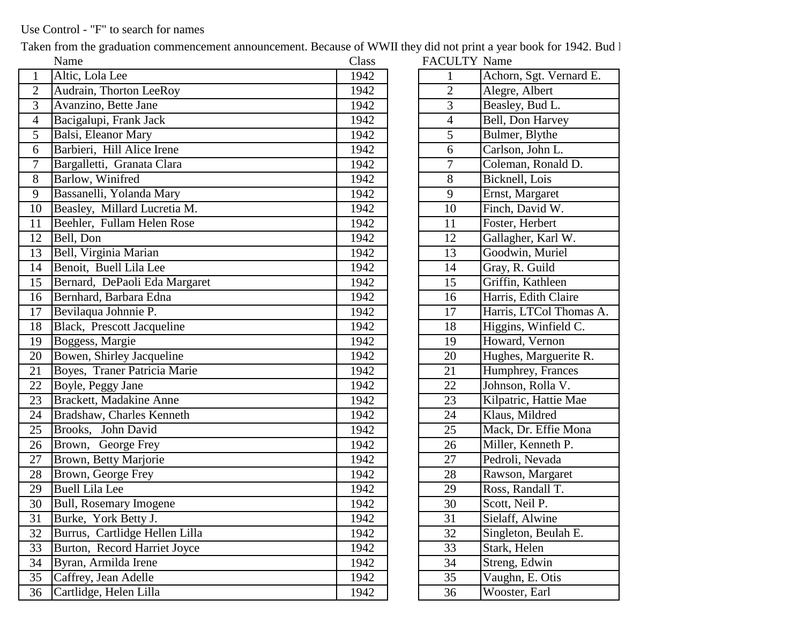## Use Control - "F" to search for names

Taken from the graduation commencement announcement. Because of WWII they did not print a year book for 1942. Bud l

|                  | Name                           | Class | <b>FACULTY Name</b> |                         |
|------------------|--------------------------------|-------|---------------------|-------------------------|
| $\mathbf{1}$     | Altic, Lola Lee                | 1942  |                     | Achorn, Sgt. Vernard E. |
| $\mathbf{2}$     | Audrain, Thorton LeeRoy        | 1942  | $\overline{c}$      | Alegre, Albert          |
| $\overline{3}$   | Avanzino, Bette Jane           | 1942  | 3                   | Beasley, Bud L.         |
| $\overline{4}$   | Bacigalupi, Frank Jack         | 1942  | $\overline{4}$      | Bell, Don Harvey        |
| 5                | Balsi, Eleanor Mary            | 1942  | 5                   | Bulmer, Blythe          |
| 6                | Barbieri, Hill Alice Irene     | 1942  | 6                   | Carlson, John L.        |
| $\boldsymbol{7}$ | Bargalletti, Granata Clara     | 1942  | 7                   | Coleman, Ronald D.      |
| 8                | Barlow, Winifred               | 1942  | 8                   | Bicknell, Lois          |
| 9                | Bassanelli, Yolanda Mary       | 1942  | 9                   | Ernst, Margaret         |
| 10               | Beasley, Millard Lucretia M.   | 1942  | 10                  | Finch, David W.         |
| 11               | Beehler, Fullam Helen Rose     | 1942  | 11                  | Foster, Herbert         |
| 12               | Bell, Don                      | 1942  | 12                  | Gallagher, Karl W.      |
| 13               | Bell, Virginia Marian          | 1942  | 13                  | Goodwin, Muriel         |
| 14               | Benoit, Buell Lila Lee         | 1942  | 14                  | Gray, R. Guild          |
| 15               | Bernard, DePaoli Eda Margaret  | 1942  | 15                  | Griffin, Kathleen       |
| 16               | Bernhard, Barbara Edna         | 1942  | 16                  | Harris, Edith Claire    |
| 17               | Bevilaqua Johnnie P.           | 1942  | 17                  | Harris, LTCol Thomas A. |
| 18               | Black, Prescott Jacqueline     | 1942  | 18                  | Higgins, Winfield C.    |
| 19               | Boggess, Margie                | 1942  | 19                  | Howard, Vernon          |
| 20               | Bowen, Shirley Jacqueline      | 1942  | 20                  | Hughes, Marguerite R.   |
| 21               | Boyes, Traner Patricia Marie   | 1942  | 21                  | Humphrey, Frances       |
| 22               | Boyle, Peggy Jane              | 1942  | 22                  | Johnson, Rolla V.       |
| 23               | Brackett, Madakine Anne        | 1942  | 23                  | Kilpatric, Hattie Mae   |
| 24               | Bradshaw, Charles Kenneth      | 1942  | 24                  | Klaus, Mildred          |
| 25               | Brooks, John David             | 1942  | 25                  | Mack, Dr. Effie Mona    |
| 26               | Brown, George Frey             | 1942  | 26                  | Miller, Kenneth P.      |
| 27               | Brown, Betty Marjorie          | 1942  | 27                  | Pedroli, Nevada         |
| 28               | Brown, George Frey             | 1942  | 28                  | Rawson, Margaret        |
| 29               | <b>Buell Lila Lee</b>          | 1942  | 29                  | Ross, Randall T.        |
| 30               | <b>Bull, Rosemary Imogene</b>  | 1942  | 30                  | Scott, Neil P.          |
| 31               | Burke, York Betty J.           | 1942  | 31                  | Sielaff, Alwine         |
| 32               | Burrus, Cartlidge Hellen Lilla | 1942  | 32                  | Singleton, Beulah E.    |
| 33               | Burton, Record Harriet Joyce   | 1942  | 33                  | Stark, Helen            |
| 34               | Byran, Armilda Irene           | 1942  | 34                  | Streng, Edwin           |
| 35               | Caffrey, Jean Adelle           | 1942  | 35                  | Vaughn, E. Otis         |
| 36               | Cartlidge, Helen Lilla         | 1942  | 36                  | Wooster, Earl           |

| <b>FACULTY Name</b> |                         |
|---------------------|-------------------------|
| $\mathbf{1}$        | Achorn, Sgt. Vernard E. |
| $\overline{c}$      | Alegre, Albert          |
| $\overline{3}$      | Beasley, Bud L.         |
| 4                   | Bell, Don Harvey        |
| 5                   | Bulmer, Blythe          |
| 6                   | Carlson, John L.        |
| 7                   | Coleman, Ronald D.      |
| 8                   | Bicknell, Lois          |
| 9                   | Ernst, Margaret         |
| 10                  | Finch, David W.         |
| 11                  | Foster, Herbert         |
| $\overline{1}2$     | Gallagher, Karl W.      |
| 13                  | Goodwin, Muriel         |
| 14                  | Gray, R. Guild          |
| $\overline{15}$     | Griffin, Kathleen       |
| 16                  | Harris, Edith Claire    |
| 17                  | Harris, LTCol Thomas A. |
| 18                  | Higgins, Winfield C.    |
| 19                  | Howard, Vernon          |
| 20                  | Hughes, Marguerite R.   |
| 21                  | Humphrey, Frances       |
| 22                  | Johnson, Rolla V.       |
| 23                  | Kilpatric, Hattie Mae   |
| 24                  | Klaus, Mildred          |
| 25                  | Mack, Dr. Effie Mona    |
| 26                  | Miller, Kenneth P.      |
| 27                  | Pedroli, Nevada         |
| 28                  | Rawson, Margaret        |
| 29                  | Ross, Randall T.        |
| 30                  | Scott, Neil P.          |
| 31                  | Sielaff, Alwine         |
| 32                  | Singleton, Beulah E.    |
| 33                  | Stark, Helen            |
| 34                  | Streng, Edwin           |
| 35                  | Vaughn, E. Otis         |
| 36                  | Wooster, Earl           |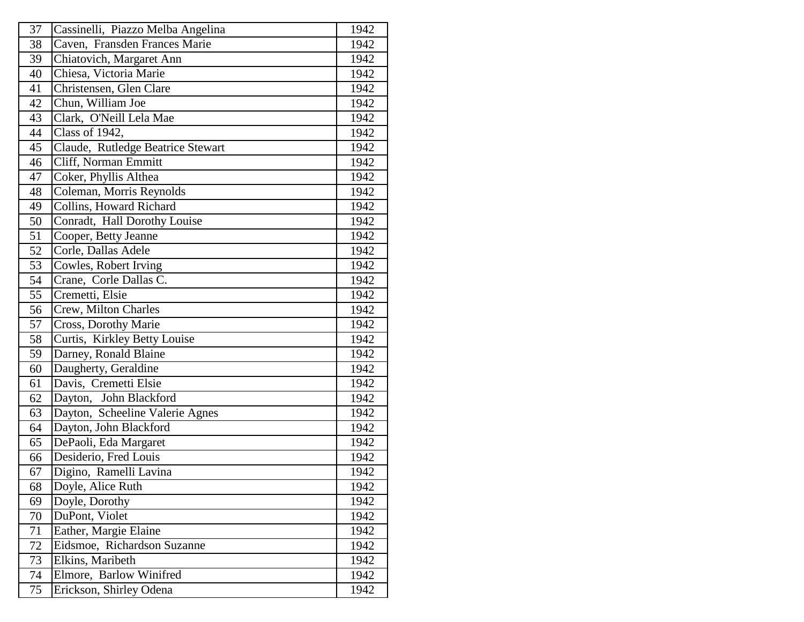| 37              | Cassinelli, Piazzo Melba Angelina | 1942 |
|-----------------|-----------------------------------|------|
| 38              | Caven, Fransden Frances Marie     | 1942 |
| 39              | Chiatovich, Margaret Ann          | 1942 |
| 40              | Chiesa, Victoria Marie            | 1942 |
| 41              | Christensen, Glen Clare           | 1942 |
| 42              | Chun, William Joe                 | 1942 |
| 43              | Clark, O'Neill Lela Mae           | 1942 |
| 44              | Class of 1942,                    | 1942 |
| 45              | Claude, Rutledge Beatrice Stewart | 1942 |
| 46              | Cliff, Norman Emmitt              | 1942 |
| 47              | Coker, Phyllis Althea             | 1942 |
| 48              | Coleman, Morris Reynolds          | 1942 |
| 49              | Collins, Howard Richard           | 1942 |
| 50              | Conradt, Hall Dorothy Louise      | 1942 |
| 51              | Cooper, Betty Jeanne              | 1942 |
| 52              | Corle, Dallas Adele               | 1942 |
| 53              | Cowles, Robert Irving             | 1942 |
| 54              | Crane, Corle Dallas C.            | 1942 |
| 55              | Cremetti, Elsie                   | 1942 |
| 56              | Crew, Milton Charles              | 1942 |
| $\overline{57}$ | Cross, Dorothy Marie              | 1942 |
| 58              | Curtis, Kirkley Betty Louise      | 1942 |
| 59              | Darney, Ronald Blaine             | 1942 |
| 60              | Daugherty, Geraldine              | 1942 |
| 61              | Davis, Cremetti Elsie             | 1942 |
| 62              | Dayton, John Blackford            | 1942 |
| 63              | Dayton, Scheeline Valerie Agnes   | 1942 |
| 64              | Dayton, John Blackford            | 1942 |
| 65              | DePaoli, Eda Margaret             | 1942 |
| 66              | Desiderio, Fred Louis             | 1942 |
| 67              | Digino, Ramelli Lavina            | 1942 |
| 68              | Doyle, Alice Ruth                 | 1942 |
| 69              | Doyle, Dorothy                    | 1942 |
| 70              | DuPont, Violet                    | 1942 |
| 71              | Eather, Margie Elaine             | 1942 |
| 72              | Eidsmoe, Richardson Suzanne       | 1942 |
| 73              | Elkins, Maribeth                  | 1942 |
| 74              | Elmore, Barlow Winifred           | 1942 |
| 75              | Erickson, Shirley Odena           | 1942 |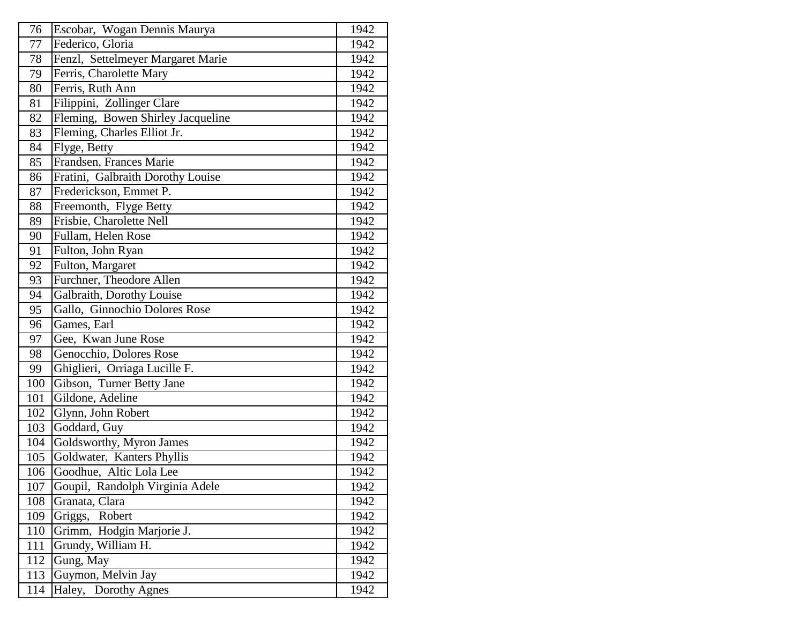| 76               | Escobar, Wogan Dennis Maurya      | 1942 |
|------------------|-----------------------------------|------|
| 77               | Federico, Gloria                  | 1942 |
| 78               | Fenzl, Settelmeyer Margaret Marie | 1942 |
| 79               | Ferris, Charolette Mary           | 1942 |
| 80               | Ferris, Ruth Ann                  | 1942 |
| 81               | Filippini, Zollinger Clare        | 1942 |
| 82               | Fleming, Bowen Shirley Jacqueline | 1942 |
| 83               | Fleming, Charles Elliot Jr.       | 1942 |
| 84               | Flyge, Betty                      | 1942 |
| 85               | Frandsen, Frances Marie           | 1942 |
| 86               | Fratini, Galbraith Dorothy Louise | 1942 |
| 87               | Frederickson, Emmet P.            | 1942 |
| 88               | Freemonth, Flyge Betty            | 1942 |
| 89               | Frisbie, Charolette Nell          | 1942 |
| 90               | Fullam, Helen Rose                | 1942 |
| 91               | Fulton, John Ryan                 | 1942 |
| 92               | Fulton, Margaret                  | 1942 |
| 93               | Furchner, Theodore Allen          | 1942 |
| 94               | Galbraith, Dorothy Louise         | 1942 |
| 95               | Gallo, Ginnochio Dolores Rose     | 1942 |
| 96               | Games, Earl                       | 1942 |
| 97               | Gee, Kwan June Rose               | 1942 |
| 98               | Genocchio, Dolores Rose           | 1942 |
| 99               | Ghiglieri, Orriaga Lucille F.     | 1942 |
| $\overline{1}00$ | Gibson, Turner Betty Jane         | 1942 |
| 101              | Gildone, Adeline                  | 1942 |
| 102              | Glynn, John Robert                | 1942 |
| 103              | Goddard, Guy                      | 1942 |
| 104              | Goldsworthy, Myron James          | 1942 |
| 105              | Goldwater, Kanters Phyllis        | 1942 |
| 106              | Goodhue, Altic Lola Lee           | 1942 |
| 107              | Goupil, Randolph Virginia Adele   | 1942 |
| 108              | Granata, Clara                    | 1942 |
| 109              | Griggs, Robert                    | 1942 |
| 110              | Grimm, Hodgin Marjorie J.         | 1942 |
| 111              | Grundy, William H.                | 1942 |
| 112              | Gung, May                         | 1942 |
| 113              | Guymon, Melvin Jay                | 1942 |
| 114              | Haley, Dorothy Agnes              | 1942 |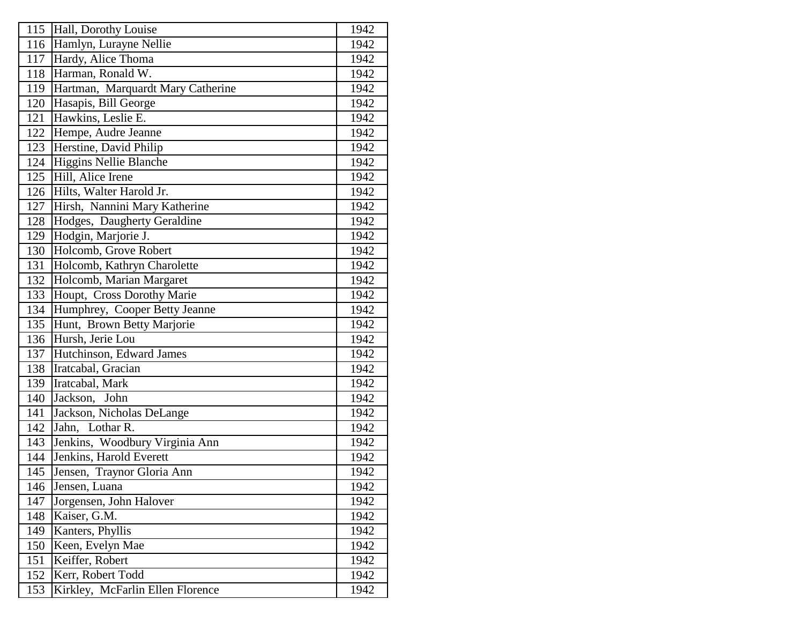| 115            | Hall, Dorothy Louise              | 1942 |
|----------------|-----------------------------------|------|
| 116            | Hamlyn, Lurayne Nellie            | 1942 |
| 117            | Hardy, Alice Thoma                | 1942 |
| <sup>118</sup> | Harman, Ronald W.                 | 1942 |
| 119            | Hartman, Marquardt Mary Catherine | 1942 |
| 120            | Hasapis, Bill George              | 1942 |
| 121            | Hawkins, Leslie E.                | 1942 |
| 122            | Hempe, Audre Jeanne               | 1942 |
| 123            | Herstine, David Philip            | 1942 |
| 124            | Higgins Nellie Blanche            | 1942 |
| 125            | Hill, Alice Irene                 | 1942 |
| 126            | Hilts, Walter Harold Jr.          | 1942 |
| 127            | Hirsh, Nannini Mary Katherine     | 1942 |
| 128            | Hodges, Daugherty Geraldine       | 1942 |
| 129            | Hodgin, Marjorie J.               | 1942 |
| 130            | Holcomb, Grove Robert             | 1942 |
| 131            | Holcomb, Kathryn Charolette       | 1942 |
| 132            | Holcomb, Marian Margaret          | 1942 |
| 133            | Houpt, Cross Dorothy Marie        | 1942 |
| 134            | Humphrey, Cooper Betty Jeanne     | 1942 |
| 135            | Hunt, Brown Betty Marjorie        | 1942 |
| 136            | Hursh, Jerie Lou                  | 1942 |
| 137            | Hutchinson, Edward James          | 1942 |
| 138            | Iratcabal, Gracian                | 1942 |
| 139            | Iratcabal, Mark                   | 1942 |
| 140            | Jackson, John                     | 1942 |
| 141            | Jackson, Nicholas DeLange         | 1942 |
| 142            | Lothar R.<br>Jahn,                | 1942 |
| 143            | Jenkins, Woodbury Virginia Ann    | 1942 |
| 144            | Jenkins, Harold Everett           | 1942 |
| 145            | Jensen, Traynor Gloria Ann        | 1942 |
| 146            | Jensen, Luana                     | 1942 |
| 147            | Jorgensen, John Halover           | 1942 |
| 148            | Kaiser, G.M.                      | 1942 |
| 149            | Kanters, Phyllis                  | 1942 |
| 150            | Keen, Evelyn Mae                  | 1942 |
| 151            | Keiffer, Robert                   | 1942 |
| 152            | Kerr, Robert Todd                 | 1942 |
| 153            | Kirkley, McFarlin Ellen Florence  | 1942 |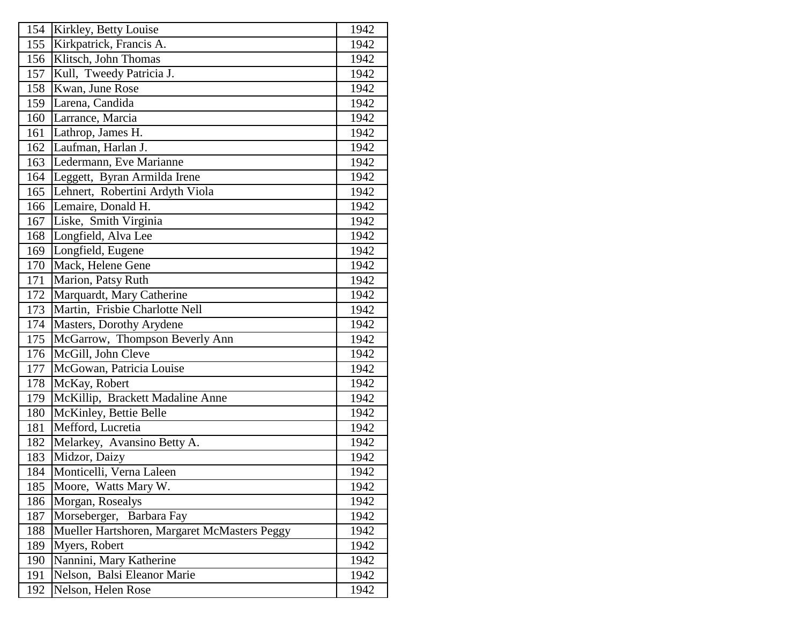| 154 | Kirkley, Betty Louise                        | 1942 |
|-----|----------------------------------------------|------|
| 155 | Kirkpatrick, Francis A.                      | 1942 |
| 156 | Klitsch, John Thomas                         | 1942 |
| 157 | Kull, Tweedy Patricia J.                     | 1942 |
| 158 | Kwan, June Rose                              | 1942 |
| 159 | Larena, Candida                              | 1942 |
| 160 | Larrance, Marcia                             | 1942 |
| 161 | Lathrop, James H.                            | 1942 |
| 162 | Laufman, Harlan J.                           | 1942 |
| 163 | Ledermann, Eve Marianne                      | 1942 |
| 164 | Leggett, Byran Armilda Irene                 | 1942 |
| 165 | Lehnert, Robertini Ardyth Viola              | 1942 |
| 166 | Lemaire, Donald H.                           | 1942 |
| 167 | Liske, Smith Virginia                        | 1942 |
| 168 | Longfield, Alva Lee                          | 1942 |
| 169 | Longfield, Eugene                            | 1942 |
| 170 | Mack, Helene Gene                            | 1942 |
| 171 | Marion, Patsy Ruth                           | 1942 |
| 172 | Marquardt, Mary Catherine                    | 1942 |
| 173 | Martin, Frisbie Charlotte Nell               | 1942 |
| 174 | Masters, Dorothy Arydene                     | 1942 |
| 175 | McGarrow, Thompson Beverly Ann               | 1942 |
| 176 | McGill, John Cleve                           | 1942 |
| 177 | McGowan, Patricia Louise                     | 1942 |
| 178 | McKay, Robert                                | 1942 |
| 179 | McKillip, Brackett Madaline Anne             | 1942 |
| 180 | McKinley, Bettie Belle                       | 1942 |
| 181 | Mefford, Lucretia                            | 1942 |
| 182 | Melarkey, Avansino Betty A.                  | 1942 |
| 183 | Midzor, Daizy                                | 1942 |
| 184 | Monticelli, Verna Laleen                     | 1942 |
| 185 | Moore, Watts Mary W.                         | 1942 |
| 186 | Morgan, Rosealys                             | 1942 |
| 187 | Morseberger,<br>Barbara Fay                  | 1942 |
| 188 | Mueller Hartshoren, Margaret McMasters Peggy | 1942 |
| 189 | Myers, Robert                                | 1942 |
| 190 | Nannini, Mary Katherine                      | 1942 |
| 191 | Nelson, Balsi Eleanor Marie                  | 1942 |
| 192 | Nelson, Helen Rose                           | 1942 |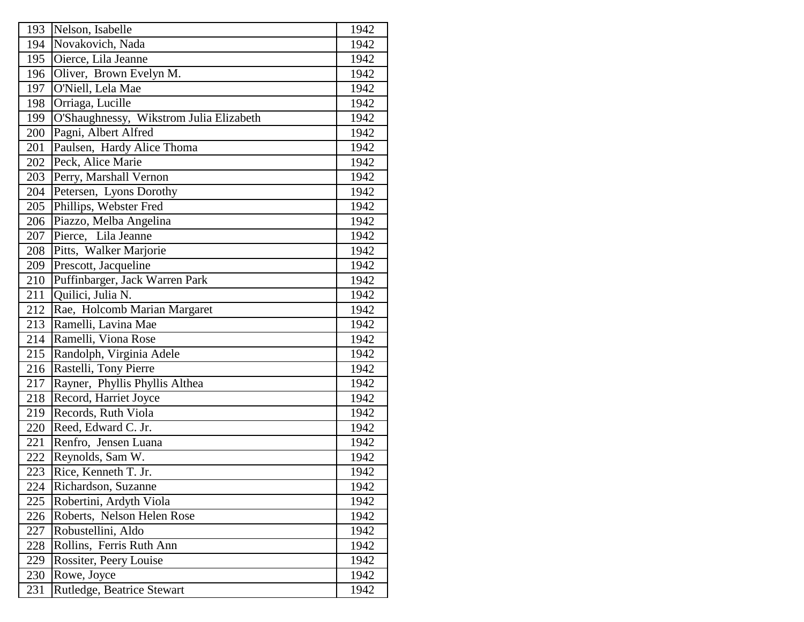| 193 | Nelson, Isabelle                        | 1942 |
|-----|-----------------------------------------|------|
| 194 | Novakovich, Nada                        | 1942 |
| 195 | Oierce, Lila Jeanne                     | 1942 |
| 196 | Oliver, Brown Evelyn M.                 | 1942 |
| 197 | O'Niell, Lela Mae                       | 1942 |
| 198 | Orriaga, Lucille                        | 1942 |
| 199 | O'Shaughnessy, Wikstrom Julia Elizabeth | 1942 |
| 200 | Pagni, Albert Alfred                    | 1942 |
| 201 | Paulsen, Hardy Alice Thoma              | 1942 |
| 202 | Peck, Alice Marie                       | 1942 |
| 203 | Perry, Marshall Vernon                  | 1942 |
| 204 | Petersen, Lyons Dorothy                 | 1942 |
| 205 | Phillips, Webster Fred                  | 1942 |
| 206 | Piazzo, Melba Angelina                  | 1942 |
| 207 | Pierce, Lila Jeanne                     | 1942 |
| 208 | Pitts, Walker Marjorie                  | 1942 |
| 209 | Prescott, Jacqueline                    | 1942 |
| 210 | Puffinbarger, Jack Warren Park          | 1942 |
| 211 | Quilici, Julia N.                       | 1942 |
| 212 | Rae, Holcomb Marian Margaret            | 1942 |
| 213 | Ramelli, Lavina Mae                     | 1942 |
| 214 | Ramelli, Viona Rose                     | 1942 |
| 215 | Randolph, Virginia Adele                | 1942 |
| 216 | Rastelli, Tony Pierre                   | 1942 |
| 217 | Rayner, Phyllis Phyllis Althea          | 1942 |
| 218 | Record, Harriet Joyce                   | 1942 |
| 219 | Records, Ruth Viola                     | 1942 |
| 220 | Reed, Edward C. Jr.                     | 1942 |
| 221 | Renfro, Jensen Luana                    | 1942 |
| 222 | Reynolds, Sam W.                        | 1942 |
| 223 | Rice, Kenneth T. Jr.                    | 1942 |
| 224 | Richardson, Suzanne                     | 1942 |
| 225 | Robertini, Ardyth Viola                 | 1942 |
| 226 | Roberts, Nelson Helen Rose              | 1942 |
| 227 | Robustellini, Aldo                      | 1942 |
| 228 | Rollins, Ferris Ruth Ann                | 1942 |
| 229 | Rossiter, Peery Louise                  | 1942 |
| 230 | Rowe, Joyce                             | 1942 |
| 231 | Rutledge, Beatrice Stewart              | 1942 |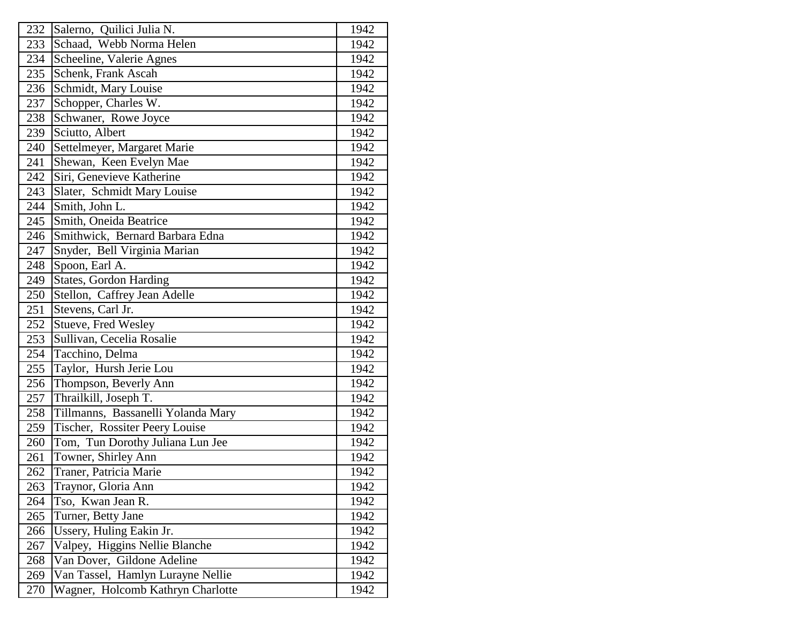| 232 | Salerno, Quilici Julia N.          | 1942 |
|-----|------------------------------------|------|
| 233 | Schaad, Webb Norma Helen           | 1942 |
| 234 | Scheeline, Valerie Agnes           | 1942 |
| 235 | Schenk, Frank Ascah                | 1942 |
| 236 | Schmidt, Mary Louise               | 1942 |
| 237 | Schopper, Charles W.               | 1942 |
| 238 | Schwaner, Rowe Joyce               | 1942 |
| 239 | Sciutto, Albert                    | 1942 |
| 240 | Settelmeyer, Margaret Marie        | 1942 |
| 241 | Shewan, Keen Evelyn Mae            | 1942 |
| 242 | Siri, Genevieve Katherine          | 1942 |
| 243 | Slater, Schmidt Mary Louise        | 1942 |
| 244 | Smith, John L.                     | 1942 |
| 245 | Smith, Oneida Beatrice             | 1942 |
| 246 | Smithwick, Bernard Barbara Edna    | 1942 |
| 247 | Snyder, Bell Virginia Marian       | 1942 |
| 248 | Spoon, Earl A.                     | 1942 |
| 249 | <b>States, Gordon Harding</b>      | 1942 |
| 250 | Stellon, Caffrey Jean Adelle       | 1942 |
| 251 | Stevens, Carl Jr.                  | 1942 |
| 252 | Stueve, Fred Wesley                | 1942 |
| 253 | Sullivan, Cecelia Rosalie          | 1942 |
| 254 | Tacchino, Delma                    | 1942 |
| 255 | Taylor, Hursh Jerie Lou            | 1942 |
| 256 | Thompson, Beverly Ann              | 1942 |
| 257 | Thrailkill, Joseph T.              | 1942 |
| 258 | Tillmanns, Bassanelli Yolanda Mary | 1942 |
| 259 | Tischer, Rossiter Peery Louise     | 1942 |
| 260 | Tom, Tun Dorothy Juliana Lun Jee   | 1942 |
| 261 | Towner, Shirley Ann                | 1942 |
| 262 | Traner, Patricia Marie             | 1942 |
| 263 | Traynor, Gloria Ann                | 1942 |
| 264 | Tso, Kwan Jean R.                  | 1942 |
| 265 | Turner, Betty Jane                 | 1942 |
| 266 | Ussery, Huling Eakin Jr.           | 1942 |
| 267 | Valpey, Higgins Nellie Blanche     | 1942 |
| 268 | Van Dover, Gildone Adeline         | 1942 |
| 269 | Van Tassel, Hamlyn Lurayne Nellie  | 1942 |
| 270 | Wagner, Holcomb Kathryn Charlotte  | 1942 |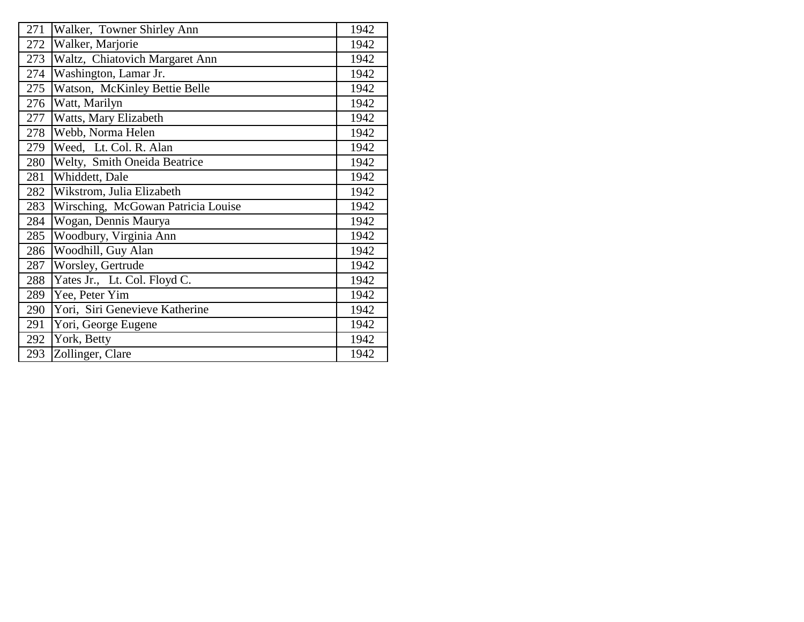| 271 | Walker, Towner Shirley Ann         | 1942 |
|-----|------------------------------------|------|
| 272 | Walker, Marjorie                   | 1942 |
| 273 | Waltz, Chiatovich Margaret Ann     | 1942 |
| 274 | Washington, Lamar Jr.              | 1942 |
| 275 | Watson, McKinley Bettie Belle      | 1942 |
| 276 | Watt, Marilyn                      | 1942 |
| 277 | Watts, Mary Elizabeth              | 1942 |
| 278 | Webb, Norma Helen                  | 1942 |
| 279 | Weed, Lt. Col. R. Alan             | 1942 |
| 280 | Welty, Smith Oneida Beatrice       | 1942 |
| 281 | Whiddett, Dale                     | 1942 |
| 282 | Wikstrom, Julia Elizabeth          | 1942 |
| 283 | Wirsching, McGowan Patricia Louise | 1942 |
| 284 | Wogan, Dennis Maurya               | 1942 |
| 285 | Woodbury, Virginia Ann             | 1942 |
| 286 | Woodhill, Guy Alan                 | 1942 |
| 287 | Worsley, Gertrude                  | 1942 |
| 288 | Yates Jr., Lt. Col. Floyd C.       | 1942 |
| 289 | Yee, Peter Yim                     | 1942 |
| 290 | Yori, Siri Genevieve Katherine     | 1942 |
| 291 | Yori, George Eugene                | 1942 |
| 292 | York, Betty                        | 1942 |
| 293 | Zollinger, Clare                   | 1942 |